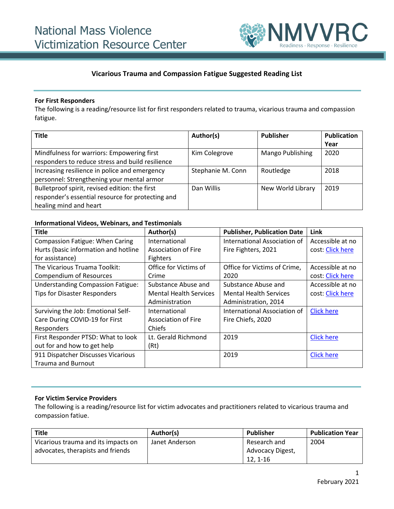

### **Vicarious Trauma and Compassion Fatigue Suggested Reading List**

#### **For First Responders**

The following is a reading/resource list for first responders related to trauma, vicarious trauma and compassion fatigue.

| <b>Title</b>                                      | Author(s)         | <b>Publisher</b>  | <b>Publication</b> |
|---------------------------------------------------|-------------------|-------------------|--------------------|
|                                                   |                   |                   | Year               |
| Mindfulness for warriors: Empowering first        | Kim Colegrove     | Mango Publishing  | 2020               |
| responders to reduce stress and build resilience  |                   |                   |                    |
| Increasing resilience in police and emergency     | Stephanie M. Conn | Routledge         | 2018               |
| personnel: Strengthening your mental armor        |                   |                   |                    |
| Bulletproof spirit, revised edition: the first    | Dan Willis        | New World Library | 2019               |
| responder's essential resource for protecting and |                   |                   |                    |
| healing mind and heart                            |                   |                   |                    |

### **Informational Videos, Webinars, and Testimonials**

| <b>Title</b>                             | Author(s)                     | <b>Publisher, Publication Date</b> | Link              |
|------------------------------------------|-------------------------------|------------------------------------|-------------------|
| <b>Compassion Fatigue: When Caring</b>   | International                 | International Association of       | Accessible at no  |
| Hurts (basic information and hotline     | Association of Fire           | Fire Fighters, 2021                | cost: Click here  |
| for assistance)                          | <b>Fighters</b>               |                                    |                   |
| The Vicarious Truama Toolkit:            | Office for Victims of         | Office for Victims of Crime,       | Accessible at no  |
| <b>Compendium of Resources</b>           | Crime                         | 2020                               | cost: Click here  |
| <b>Understanding Compassion Fatigue:</b> | Substance Abuse and           | Substance Abuse and                | Accessible at no  |
| <b>Tips for Disaster Responders</b>      | <b>Mental Health Services</b> | <b>Mental Health Services</b>      | cost: Click here  |
|                                          | Administration                | Administration, 2014               |                   |
| Surviving the Job: Emotional Self-       | International                 | International Association of       | <b>Click here</b> |
| Care During COVID-19 for First           | Association of Fire           | Fire Chiefs, 2020                  |                   |
| Responders                               | Chiefs                        |                                    |                   |
| First Responder PTSD: What to look       | Lt. Gerald Richmond           | 2019                               | <b>Click here</b> |
| out for and how to get help              | (Rt)                          |                                    |                   |
| 911 Dispatcher Discusses Vicarious       |                               | 2019                               | <b>Click here</b> |
| <b>Trauma and Burnout</b>                |                               |                                    |                   |

### **For Victim Service Providers**

The following is a reading/resource list for victim advocates and practitioners related to vicarious trauma and compassion fatiue.

| <b>Title</b>                        | Author(s)      | Publisher        | <b>Publication Year</b> |
|-------------------------------------|----------------|------------------|-------------------------|
| Vicarious trauma and its impacts on | Janet Anderson | Research and     | 2004                    |
| advocates, therapists and friends   |                | Advocacy Digest, |                         |
|                                     |                | 12.1-16          |                         |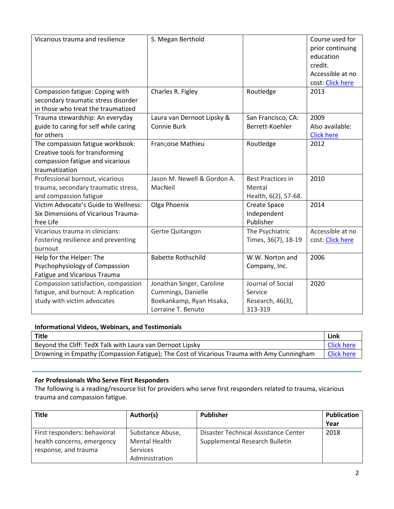| Vicarious trauma and resilience<br>Compassion fatigue: Coping with                                                        | S. Megan Berthold<br>Charles R. Figley                                                            | Routledge                                                   | Course used for<br>prior continuing<br>education<br>credit.<br>Accessible at no<br>cost: Click here<br>2013 |
|---------------------------------------------------------------------------------------------------------------------------|---------------------------------------------------------------------------------------------------|-------------------------------------------------------------|-------------------------------------------------------------------------------------------------------------|
| secondary traumatic stress disorder<br>in those who treat the traumatized                                                 |                                                                                                   |                                                             |                                                                                                             |
| Trauma stewardship: An everyday<br>guide to caring for self while caring<br>for others                                    | Laura van Dernoot Lipsky &<br><b>Connie Burk</b>                                                  | San Francisco, CA:<br>Berrett-Koehler                       | 2009<br>Also available:<br><b>Click here</b>                                                                |
| The compassion fatigue workbook:<br>Creative tools for transforming<br>compassion fatigue and vicarious<br>traumatization | Françoise Mathieu                                                                                 | Routledge                                                   | 2012                                                                                                        |
| Professional burnout, vicarious<br>trauma, secondary traumatic stress,<br>and compassion fatigue                          | Jason M. Newell & Gordon A.<br>MacNeil                                                            | <b>Best Practices in</b><br>Mental<br>Health, 6(2), 57-68.  | 2010                                                                                                        |
| Victim Advocate's Guide to Wellness:<br>Six Dimensions of Vicarious Trauma-<br>free Life                                  | Olga Phoenix                                                                                      | Create Space<br>Independent<br>Publisher                    | 2014                                                                                                        |
| Vicarious trauma in clinicians:<br>Fostering resilience and preventing<br>burnout                                         | Gertie Quitangon                                                                                  | The Psychiatric<br>Times, 36(7), 18-19                      | Accessible at no<br>cost: Click here                                                                        |
| Help for the Helper: The<br>Psychophysiology of Compassion<br>Fatigue and Vicarious Trauma                                | <b>Babette Rothschild</b>                                                                         | W.W. Norton and<br>Company, Inc.                            | 2006                                                                                                        |
| Compassion satisfaction, compassion<br>fatigue, and burnout: A replication<br>study with victim advocates                 | Jonathan Singer, Caroline<br>Cummings, Danielle<br>Boekankamp, Ryan Hisaka,<br>Lorraine T. Benuto | Journal of Social<br>Service<br>Research, 46(3),<br>313-319 | 2020                                                                                                        |

# **Informational Videos, Webinars, and Testimonials**

| Title                                                                                      | Link              |
|--------------------------------------------------------------------------------------------|-------------------|
| Beyond the Cliff: TedX Talk with Laura van Dernoot Lipsky                                  | <b>Click here</b> |
| Drowning in Empathy (Compassion Fatigue); The Cost of Vicarious Trauma with Amy Cunningham | Click here        |

# **For Professionals Who Serve First Responders**

The following is a reading/resource list for providers who serve first responders related to trauma, vicarious trauma and compassion fatigue.

| <b>Title</b>                 | Author(s)            | <b>Publisher</b>                     | <b>Publication</b> |
|------------------------------|----------------------|--------------------------------------|--------------------|
|                              |                      |                                      | Year               |
| First responders: behavioral | Substance Abuse,     | Disaster Technical Assistance Center | 2018               |
| health concerns, emergency   | <b>Mental Health</b> | Supplemental Research Bulletin       |                    |
| response, and trauma         | <b>Services</b>      |                                      |                    |
|                              | Administration       |                                      |                    |